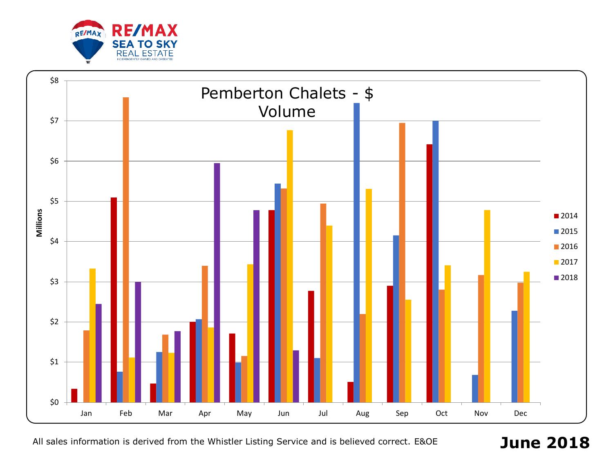

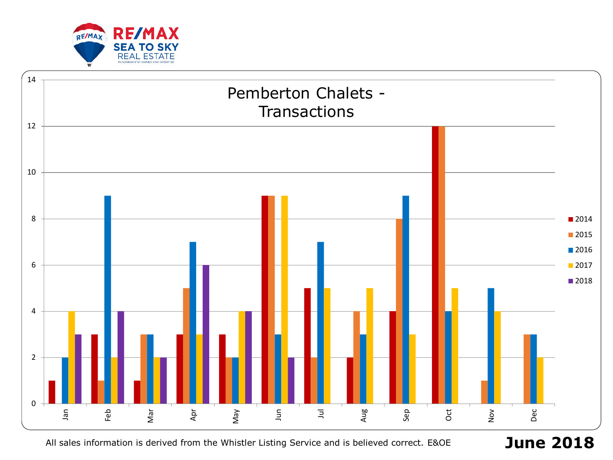

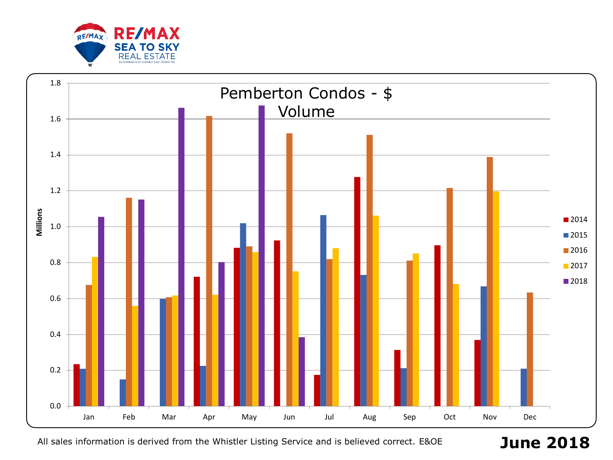

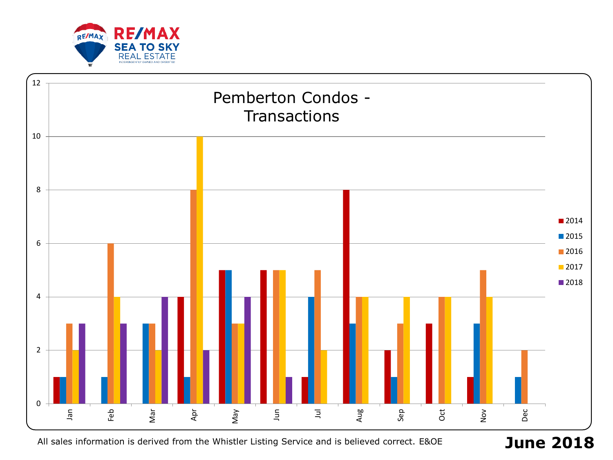

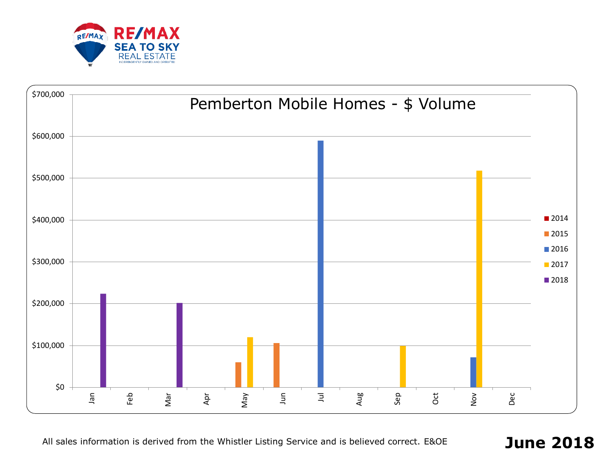

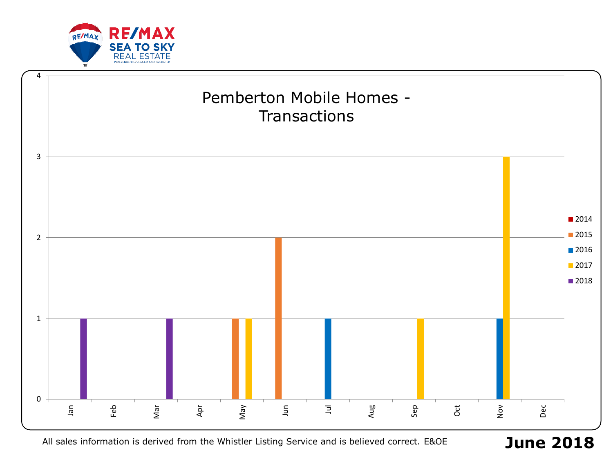

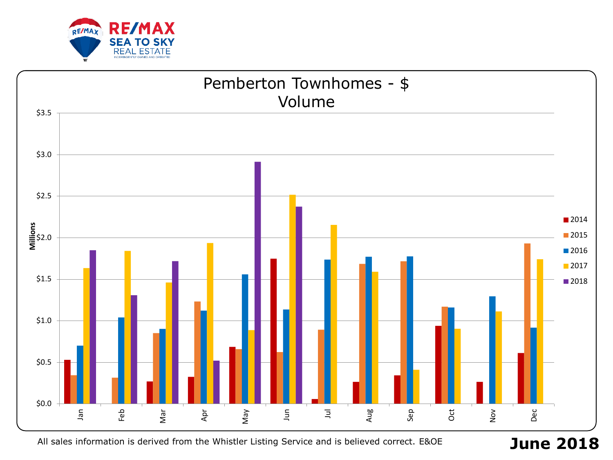

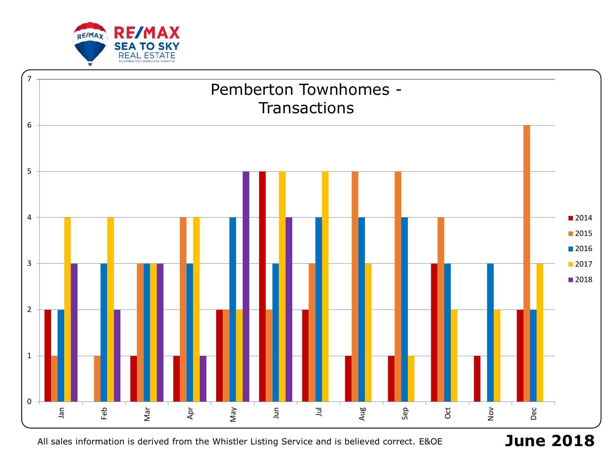

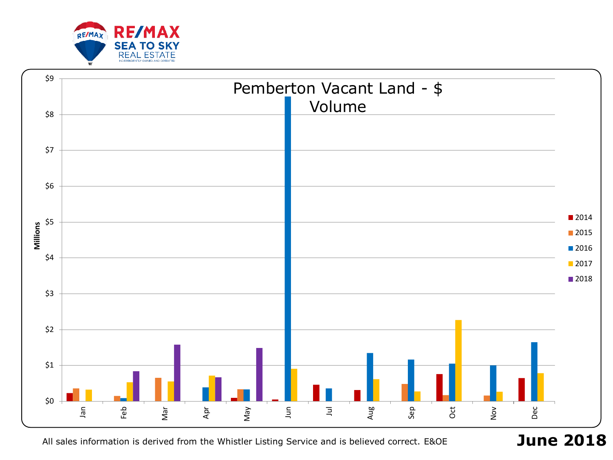

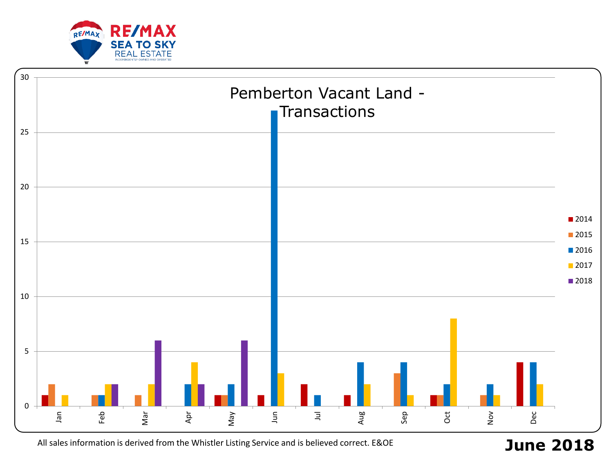

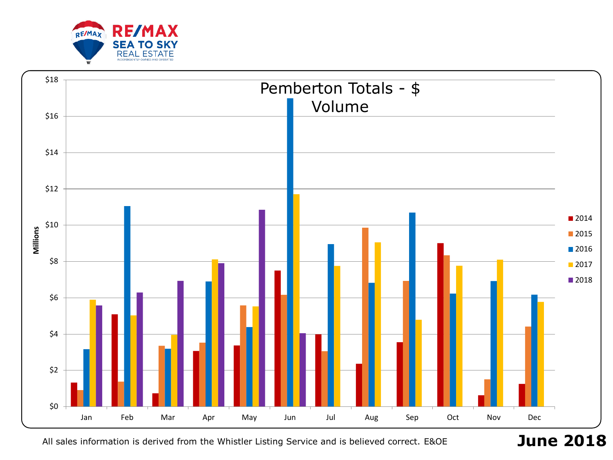

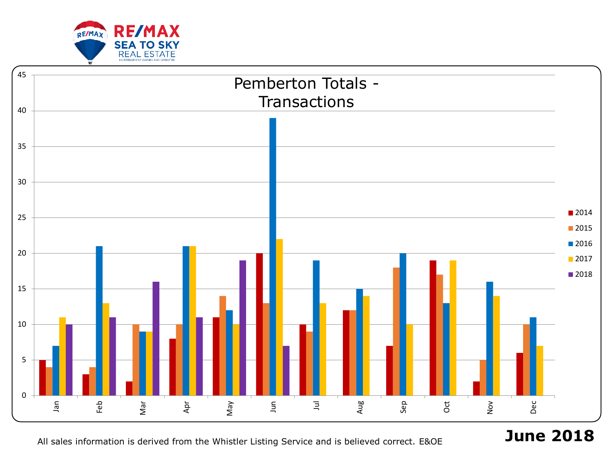



**June 2018**

All sales information is derived from the Whistler Listing Service and is believed correct. E&OE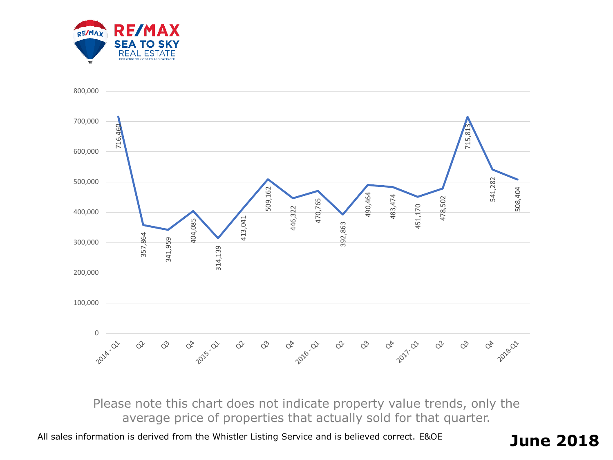



Please note this chart does not indicate property value trends, only the average price of properties that actually sold for that quarter.

All sales information is derived from the Whistler Listing Service and is believed correct. E&OE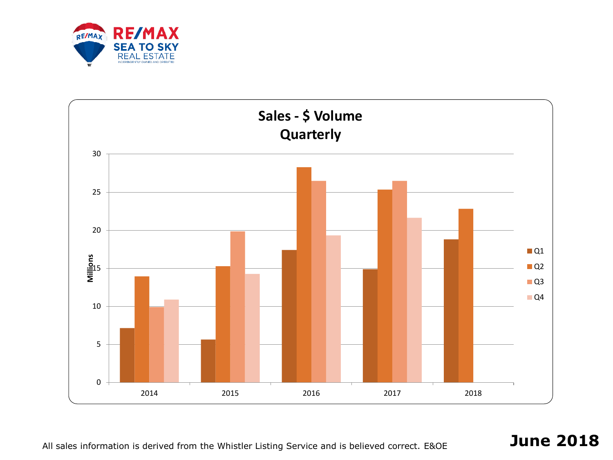